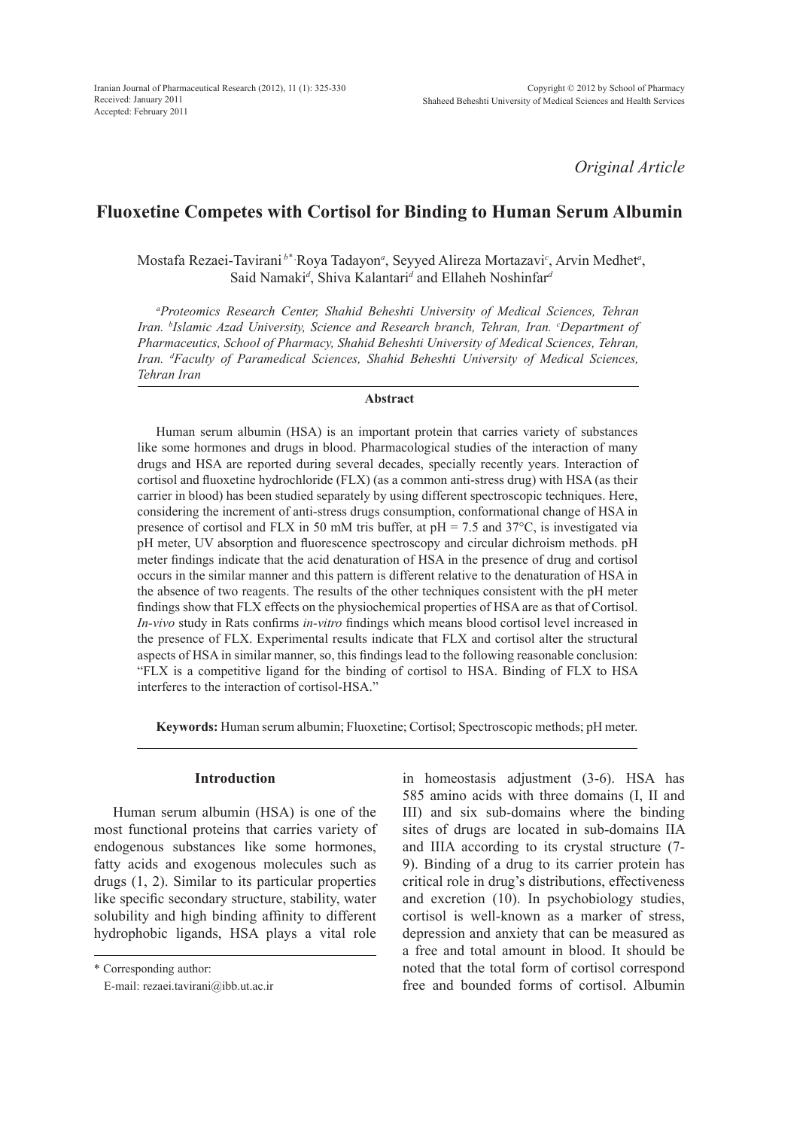*Original Article*

# **Fluoxetine Competes with Cortisol for Binding to Human Serum Albumin**

Mostafa Rezaei-Tavirani<sup>b\*,</sup>Roya Tadayon<sup>a</sup>, Seyyed Alireza Mortazavi<sup>c</sup>, Arvin Medhet<sup>a</sup>, Said Namaki*<sup>d</sup>* , Shiva Kalantari*<sup>d</sup>* and Ellaheh Noshinfar*<sup>d</sup>*

*a Proteomics Research Center, Shahid Beheshti University of Medical Sciences, Tehran*  Iran. *bIslamic Azad University, Science and Research branch, Tehran, Iran. <i>°Department of Pharmaceutics, School of Pharmacy, Shahid Beheshti University of Medical Sciences, Tehran,*  Iran. <sup>d</sup>Faculty of Paramedical Sciences, Shahid Beheshti University of Medical Sciences, *Tehran Iran*

#### **Abstract**

Human serum albumin (HSA) is an important protein that carries variety of substances like some hormones and drugs in blood. Pharmacological studies of the interaction of many drugs and HSA are reported during several decades, specially recently years. Interaction of cortisol and fluoxetine hydrochloride (FLX) (as a common anti-stress drug) with HSA (as their carrier in blood) has been studied separately by using different spectroscopic techniques. Here, considering the increment of anti-stress drugs consumption, conformational change of HSA in presence of cortisol and FLX in 50 mM tris buffer, at  $pH = 7.5$  and 37 $^{\circ}$ C, is investigated via pH meter, UV absorption and fluorescence spectroscopy and circular dichroism methods. pH meter findings indicate that the acid denaturation of HSA in the presence of drug and cortisol occurs in the similar manner and this pattern is different relative to the denaturation of HSA in the absence of two reagents. The results of the other techniques consistent with the pH meter findings show that FLX effects on the physiochemical properties of HSA are as that of Cortisol. *In-vivo* study in Rats confirms *in-vitro* findings which means blood cortisol level increased in the presence of FLX. Experimental results indicate that FLX and cortisol alter the structural aspects of HSA in similar manner, so, this findings lead to the following reasonable conclusion: "FLX is a competitive ligand for the binding of cortisol to HSA. Binding of FLX to HSA interferes to the interaction of cortisol-HSA."

**Keywords:** Human serum albumin; Fluoxetine; Cortisol; Spectroscopic methods; pH meter.

## **Introduction**

Human serum albumin (HSA) is one of the most functional proteins that carries variety of endogenous substances like some hormones, fatty acids and exogenous molecules such as drugs (1, 2). Similar to its particular properties like specific secondary structure, stability, water solubility and high binding affinity to different hydrophobic ligands, HSA plays a vital role

\* Corresponding author:

E-mail: rezaei.tavirani@ibb.ut.ac.ir

in homeostasis adjustment (3-6). HSA has 585 amino acids with three domains (I, II and III) and six sub-domains where the binding sites of drugs are located in sub-domains IIA and IIIA according to its crystal structure (7- 9). Binding of a drug to its carrier protein has critical role in drug's distributions, effectiveness and excretion (10). In psychobiology studies, cortisol is well-known as a marker of stress, depression and anxiety that can be measured as a free and total amount in blood. It should be noted that the total form of cortisol correspond free and bounded forms of cortisol. Albumin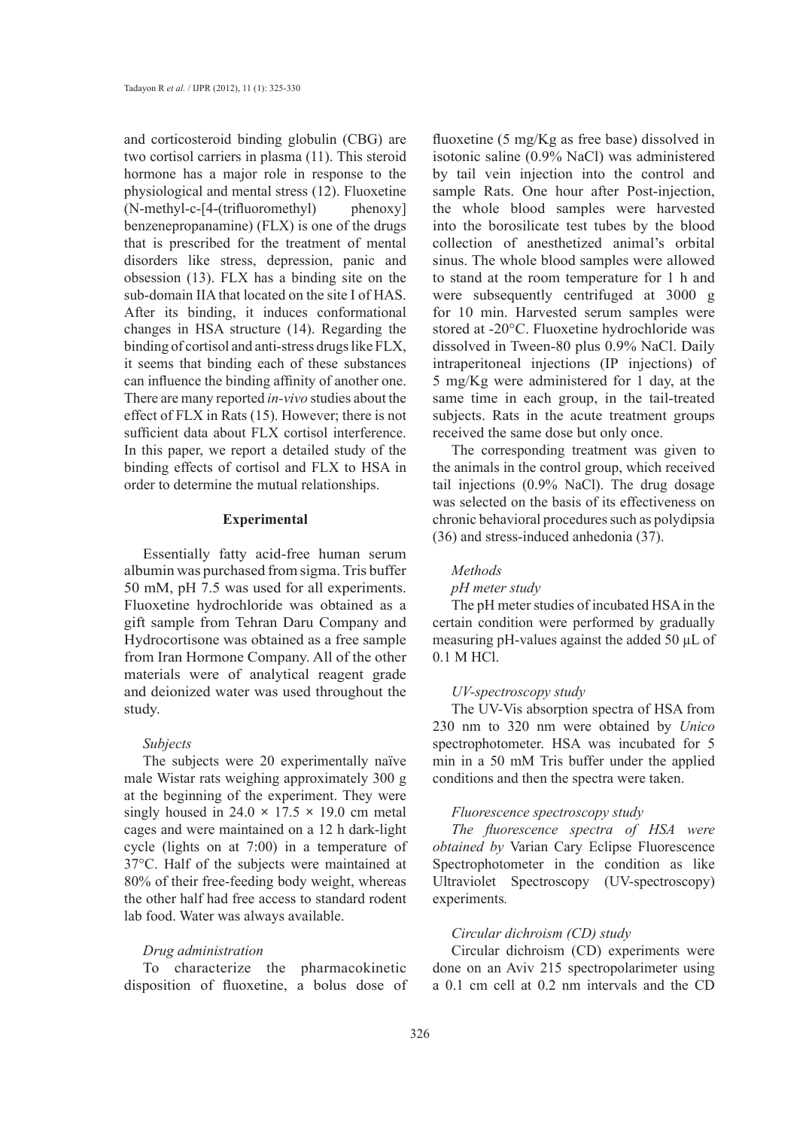and corticosteroid binding globulin (CBG) are two cortisol carriers in plasma (11). This steroid hormone has a major role in response to the physiological and mental stress (12). Fluoxetine (N-methyl-c-[4-(trifluoromethyl) phenoxy] benzenepropanamine) (FLX) is one of the drugs that is prescribed for the treatment of mental disorders like stress, depression, panic and obsession (13). FLX has a binding site on the sub-domain IIA that located on the site I of HAS. After its binding, it induces conformational changes in HSA structure (14). Regarding the binding of cortisol and anti-stress drugs like FLX, it seems that binding each of these substances can influence the binding affinity of another one. There are many reported *in-vivo* studies about the effect of FLX in Rats (15). However; there is not sufficient data about FLX cortisol interference. In this paper, we report a detailed study of the binding effects of cortisol and FLX to HSA in order to determine the mutual relationships.

## **Experimental**

Essentially fatty acid-free human serum albumin was purchased from sigma. Tris buffer 50 mM, pH 7.5 was used for all experiments. Fluoxetine hydrochloride was obtained as a gift sample from Tehran Daru Company and Hydrocortisone was obtained as a free sample from Iran Hormone Company. All of the other materials were of analytical reagent grade and deionized water was used throughout the study.

# *Subjects*

The subjects were 20 experimentally naïve male Wistar rats weighing approximately 300 g at the beginning of the experiment. They were singly housed in  $24.0 \times 17.5 \times 19.0$  cm metal cages and were maintained on a 12 h dark-light cycle (lights on at 7:00) in a temperature of 37°C. Half of the subjects were maintained at 80% of their free-feeding body weight, whereas the other half had free access to standard rodent lab food. Water was always available.

# *Drug administration*

To characterize the pharmacokinetic disposition of fluoxetine, a bolus dose of fluoxetine (5 mg/Kg as free base) dissolved in isotonic saline (0.9% NaCl) was administered by tail vein injection into the control and sample Rats. One hour after Post-injection, the whole blood samples were harvested into the borosilicate test tubes by the blood collection of anesthetized animal's orbital sinus. The whole blood samples were allowed to stand at the room temperature for 1 h and were subsequently centrifuged at 3000 g for 10 min. Harvested serum samples were stored at -20°C. Fluoxetine hydrochloride was dissolved in Tween-80 plus 0.9% NaCl. Daily intraperitoneal injections (IP injections) of 5 mg/Kg were administered for 1 day, at the same time in each group, in the tail-treated subjects. Rats in the acute treatment groups received the same dose but only once.

The corresponding treatment was given to the animals in the control group, which received tail injections (0.9% NaCl). The drug dosage was selected on the basis of its effectiveness on chronic behavioral procedures such as polydipsia (36) and stress-induced anhedonia (37).

# *Methods*

# *pH meter study*

The pH meter studies of incubated HSA in the certain condition were performed by gradually measuring pH-values against the added 50 µL of 0.1 M HCl.

#### *UV-spectroscopy study*

The UV-Vis absorption spectra of HSA from 230 nm to 320 nm were obtained by *Unico*  spectrophotometer. HSA was incubated for 5 min in a 50 mM Tris buffer under the applied conditions and then the spectra were taken.

### *Fluorescence spectroscopy study*

*The fluorescence spectra of HSA were obtained by* Varian Cary Eclipse Fluorescence Spectrophotometer in the condition as like Ultraviolet Spectroscopy (UV-spectroscopy) experiments*.*

# *Circular dichroism (CD) study*

Circular dichroism (CD) experiments were done on an Aviv 215 spectropolarimeter using a 0.1 cm cell at 0.2 nm intervals and the CD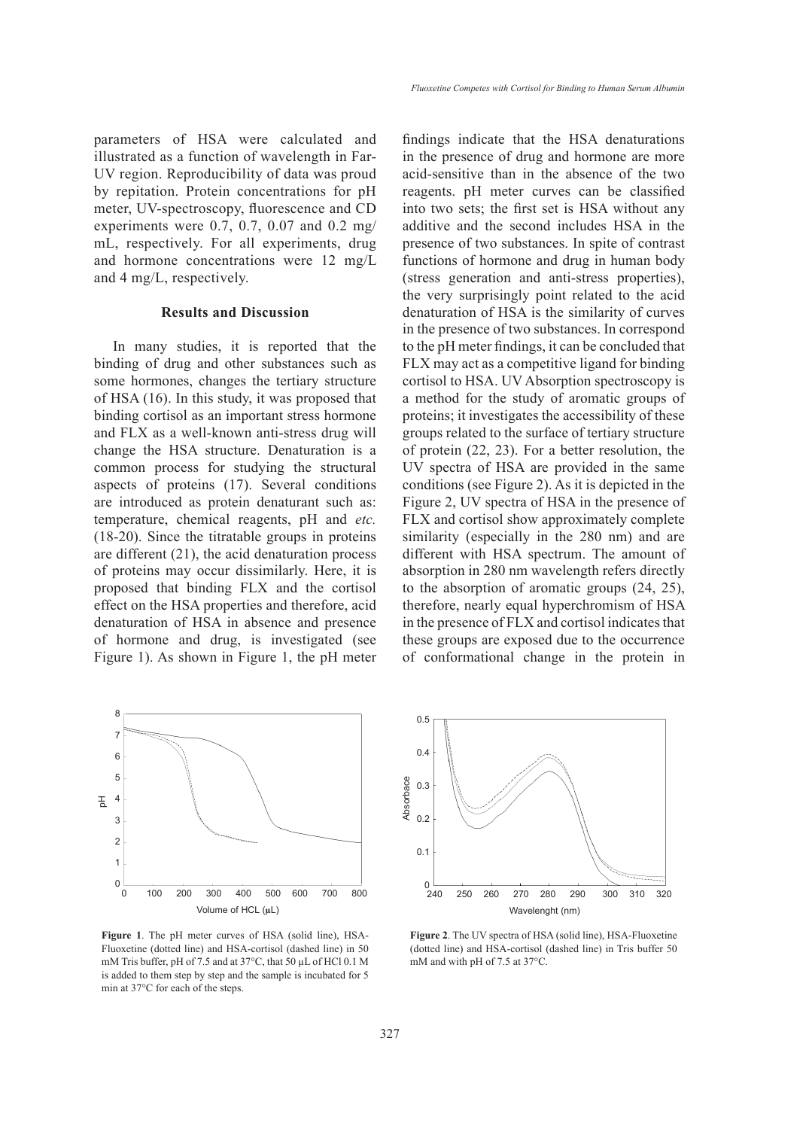parameters of HSA were calculated and illustrated as a function of wavelength in Far-UV region. Reproducibility of data was proud by repitation. Protein concentrations for pH meter, UV-spectroscopy, fluorescence and CD experiments were 0.7, 0.7, 0.07 and 0.2 mg/ mL, respectively. For all experiments, drug and hormone concentrations were 12 mg/L and 4 mg/L, respectively.

#### **Results and Discussion**

In many studies, it is reported that the binding of drug and other substances such as some hormones, changes the tertiary structure of HSA (16). In this study, it was proposed that binding cortisol as an important stress hormone and FLX as a well-known anti-stress drug will change the HSA structure. Denaturation is a common process for studying the structural aspects of proteins (17). Several conditions are introduced as protein denaturant such as: temperature, chemical reagents, pH and *etc.* (18-20). Since the titratable groups in proteins are different (21), the acid denaturation process of proteins may occur dissimilarly. Here, it is proposed that binding FLX and the cortisol effect on the HSA properties and therefore, acid denaturation of HSA in absence and presence of hormone and drug, is investigated (see Figure 1). As shown in Figure 1, the pH meter



**Figure 1**. The pH meter curves of HSA (solid line), HSA-Fluoxetine (dotted line) and HSA-cortisol (dashed line) in 50 mM Tris buffer, pH of 7.5 and at 37°C, that 50 µL of HCl 0.1 M is added to them step by step and the sample is incubated for 5 min at 37°C for each of the steps.

findings indicate that the HSA denaturations in the presence of drug and hormone are more acid-sensitive than in the absence of the two reagents. pH meter curves can be classified into two sets; the first set is HSA without any additive and the second includes HSA in the presence of two substances. In spite of contrast functions of hormone and drug in human body (stress generation and anti-stress properties), the very surprisingly point related to the acid denaturation of HSA is the similarity of curves in the presence of two substances. In correspond to the pH meter findings, it can be concluded that FLX may act as a competitive ligand for binding cortisol to HSA. UV Absorption spectroscopy is a method for the study of aromatic groups of proteins; it investigates the accessibility of these groups related to the surface of tertiary structure of protein (22, 23). For a better resolution, the UV spectra of HSA are provided in the same conditions (see Figure 2). As it is depicted in the Figure 2, UV spectra of HSA in the presence of FLX and cortisol show approximately complete similarity (especially in the 280 nm) and are different with HSA spectrum. The amount of absorption in 280 nm wavelength refers directly to the absorption of aromatic groups (24, 25), therefore, nearly equal hyperchromism of HSA in the presence of FLX and cortisol indicates that these groups are exposed due to the occurrence of conformational change in the protein in



**Figure 2**. The UV spectra of HSA (solid line), HSA-Fluoxetine (dotted line) and HSA-cortisol (dashed line) in Tris buffer 50 mM and with pH of 7.5 at 37°C.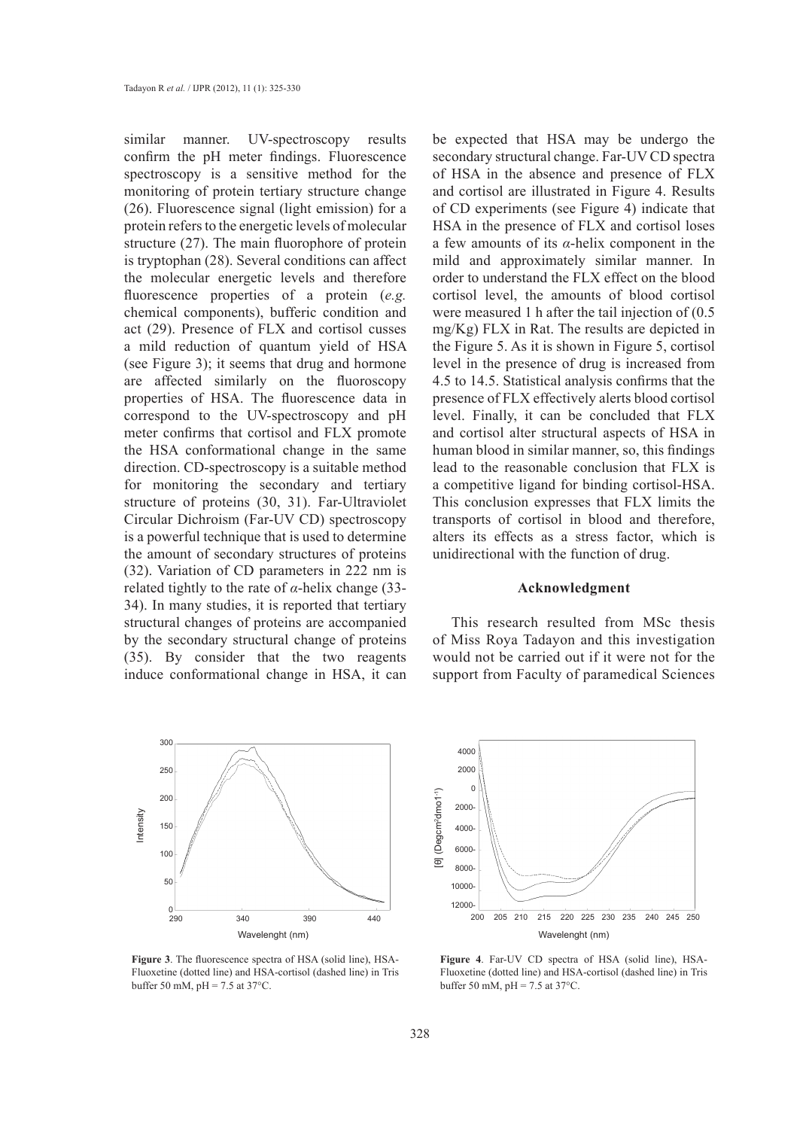similar manner. UV-spectroscopy results confirm the pH meter findings. Fluorescence spectroscopy is a sensitive method for the monitoring of protein tertiary structure change (26). Fluorescence signal (light emission) for a protein refers to the energetic levels of molecular structure (27). The main fluorophore of protein is tryptophan (28). Several conditions can affect the molecular energetic levels and therefore fluorescence properties of a protein (*e.g.* chemical components), bufferic condition and act (29). Presence of FLX and cortisol cusses a mild reduction of quantum yield of HSA (see Figure 3); it seems that drug and hormone are affected similarly on the fluoroscopy properties of HSA. The fluorescence data in correspond to the UV-spectroscopy and pH meter confirms that cortisol and FLX promote the HSA conformational change in the same direction. CD-spectroscopy is a suitable method for monitoring the secondary and tertiary structure of proteins (30, 31). Far-Ultraviolet Circular Dichroism (Far-UV CD) spectroscopy is a powerful technique that is used to determine the amount of secondary structures of proteins (32). Variation of CD parameters in 222 nm is related tightly to the rate of *α*-helix change (33- 34). In many studies, it is reported that tertiary structural changes of proteins are accompanied by the secondary structural change of proteins (35). By consider that the two reagents induce conformational change in HSA, it can



**Figure 3**. The fluorescence spectra of HSA (solid line), HSA-Fluoxetine (dotted line) and HSA-cortisol (dashed line) in Tris buffer 50 mM,  $pH = 7.5$  at 37°C.

be expected that HSA may be undergo the secondary structural change. Far-UV CD spectra of HSA in the absence and presence of FLX and cortisol are illustrated in Figure 4. Results of CD experiments (see Figure 4) indicate that HSA in the presence of FLX and cortisol loses a few amounts of its *α*-helix component in the mild and approximately similar manner. In order to understand the FLX effect on the blood cortisol level, the amounts of blood cortisol were measured 1 h after the tail injection of (0.5 mg/Kg) FLX in Rat. The results are depicted in the Figure 5. As it is shown in Figure 5, cortisol level in the presence of drug is increased from 4.5 to 14.5. Statistical analysis confirms that the presence of FLX effectively alerts blood cortisol level. Finally, it can be concluded that FLX and cortisol alter structural aspects of HSA in human blood in similar manner, so, this findings lead to the reasonable conclusion that FLX is a competitive ligand for binding cortisol-HSA. This conclusion expresses that FLX limits the transports of cortisol in blood and therefore, alters its effects as a stress factor, which is unidirectional with the function of drug.

## **Acknowledgment**

This research resulted from MSc thesis of Miss Roya Tadayon and this investigation would not be carried out if it were not for the support from Faculty of paramedical Sciences



**Figure 4**. Far-UV CD spectra of HSA (solid line), HSA-Fluoxetine (dotted line) and HSA-cortisol (dashed line) in Tris buffer 50 mM,  $pH = 7.5$  at 37°C.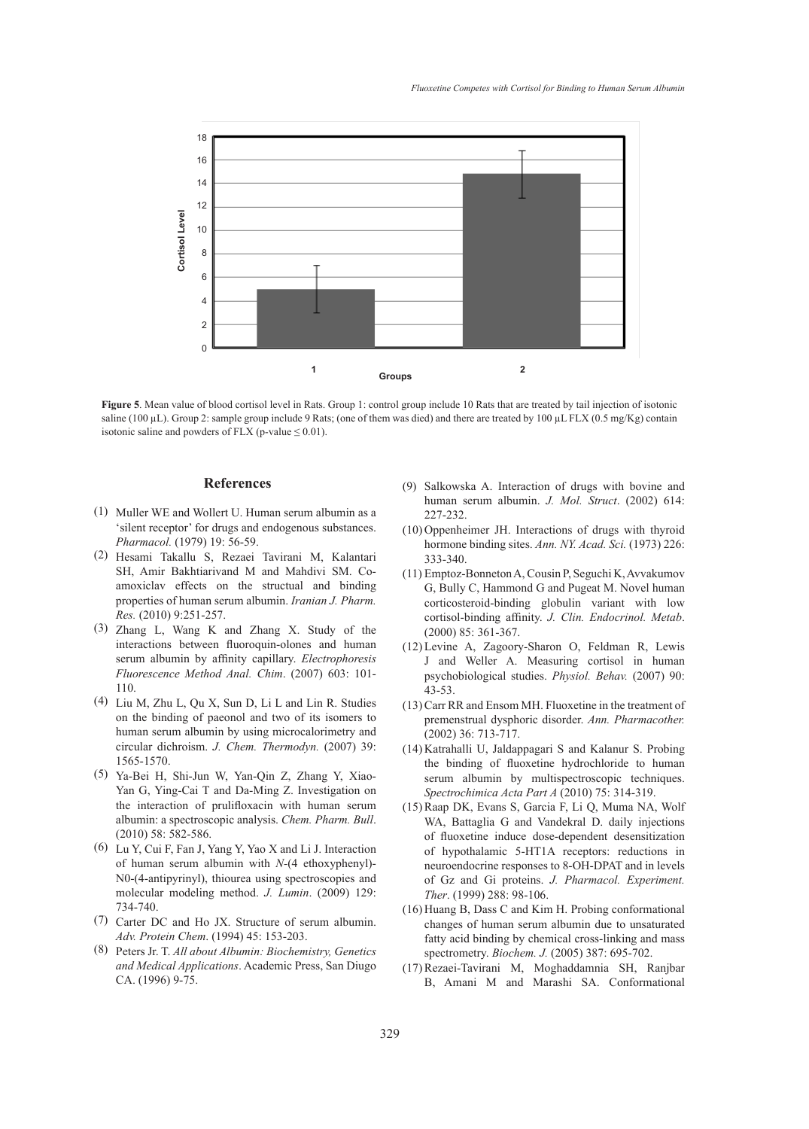

**Figure 5**. Mean value of blood cortisol level in Rats. Group 1: control group include 10 Rats that are treated by tail injection of isotonic saline (100 µL). Group 2: sample group include 9 Rats; (one of them was died) and there are treated by 100 µL FLX (0.5 mg/Kg) contain isotonic saline and powders of FLX (p-value  $\leq 0.01$ ).

#### **References**

- $(1)$  Muller WE and Wollert U. Human serum albumin as a 'silent receptor' for drugs and endogenous substances. *Pharmacol.* (1979) 19: 56-59.
- Hesami Takallu S, Rezaei Tavirani M, Kalantari (2) SH, Amir Bakhtiarivand M and Mahdivi SM. Coamoxiclav effects on the structual and binding properties of human serum albumin. *Iranian J. Pharm. Res.* (2010) 9:251-257.
- Zhang L, Wang K and Zhang X. Study of the (3) interactions between fluoroquin-olones and human serum albumin by affinity capillary. *Electrophoresis Fluorescence Method Anal. Chim*. (2007) 603: 101- 110.
- Liu M, Zhu L, Qu X, Sun D, Li L and Lin R. Studies (4) on the binding of paeonol and two of its isomers to human serum albumin by using microcalorimetry and circular dichroism. *J. Chem. Thermodyn.* (2007) 39: 1565-1570.
- Ya-Bei H, Shi-Jun W, Yan-Qin Z, Zhang Y, Xiao-(5) Yan G, Ying-Cai T and Da-Ming Z. Investigation on the interaction of prulifloxacin with human serum albumin: a spectroscopic analysis. *Chem. Pharm. Bull*. (2010) 58: 582-586.
- Lu Y, Cui F, Fan J, Yang Y, Yao X and Li J. Interaction (6) of human serum albumin with *N-*(4 ethoxyphenyl)- N0-(4-antipyrinyl), thiourea using spectroscopies and molecular modeling method. *J. Lumin*. (2009) 129: 734-740.
- Carter DC and Ho JX. Structure of serum albumin. (7) *Adv. Protein Chem*. (1994) 45: 153-203.
- Peters Jr. T. *All about Albumin: Biochemistry, Genetics*  (8) *and Medical Applications*. Academic Press, San Diugo CA. (1996) 9-75.
- (9) Salkowska A. Interaction of drugs with bovine and human serum albumin. *J. Mol. Struct*. (2002) 614: 227-232.
- $(10)$  Oppenheimer JH. Interactions of drugs with thyroid hormone binding sites. *Ann. NY. Acad. Sci.* (1973) 226: 333-340.
- Emptoz-Bonneton A, Cousin P, Seguchi K, Avvakumov (11) G, Bully C, Hammond G and Pugeat M. Novel human corticosteroid-binding globulin variant with low cortisol-binding affinity. *J. Clin. Endocrinol. Metab*. (2000) 85: 361-367.
- (12) Levine A, Zagoory-Sharon O, Feldman R, Lewis J and Weller A. Measuring cortisol in human psychobiological studies. *Physiol. Behav.* (2007) 90: 43-53.
- $(13)$  Carr RR and Ensom MH. Fluoxetine in the treatment of premenstrual dysphoric disorder. *Ann. Pharmacother.* (2002) 36: 713-717.
- (14) Katrahalli U, Jaldappagari S and Kalanur S. Probing the binding of fluoxetine hydrochloride to human serum albumin by multispectroscopic techniques. *Spectrochimica Acta Part A* (2010) 75: 314-319.
- (15) Raap DK, Evans S, Garcia F, Li Q, Muma NA, Wolf WA, Battaglia G and Vandekral D. daily injections of fluoxetine induce dose-dependent desensitization of hypothalamic 5-HT1A receptors: reductions in neuroendocrine responses to 8-OH-DPAT and in levels of Gz and Gi proteins. *J. Pharmacol. Experiment. Ther*. (1999) 288: 98-106.
- $(16)$  Huang B, Dass C and Kim H. Probing conformational changes of human serum albumin due to unsaturated fatty acid binding by chemical cross-linking and mass spectrometry. *Biochem. J.* (2005) 387: 695-702.
- (17) Rezaei-Tavirani M, Moghaddamnia SH, Ranjbar B, Amani M and Marashi SA. Conformational